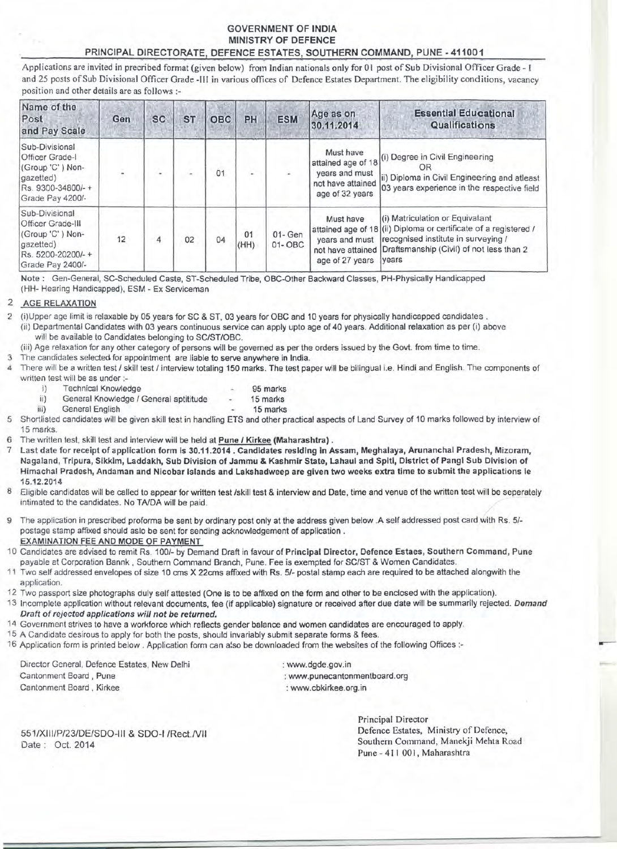# GOVERNMENT OF INDIA MINISTRY OF DEFENCE PRINCIPAL DIRECTORATE, DEFENCE ESTATES, SOUTHERN COMMAND, PUNE -411001

.<br>Applications are invited in precribed format (given below) from Indian nationals only for 01 post of Sub Divisional Officer Grade - I and 25 posts of Sub Divisional Officer Grade -III in various offices of Defence Estates Department. The eligibility conditions, vacancy position and other details are as follows :-

| Name of the<br>Post<br>and Pay Scale                                                                                 | Gen | <b>SC</b> | <b>ST</b> | <b>OBC</b> | PH         | <b>ESM</b>               | Age as on<br>30.11.2014                                                                   | <b>Essential Educational</b><br>Qualifications                                                                                                                                                                           |
|----------------------------------------------------------------------------------------------------------------------|-----|-----------|-----------|------------|------------|--------------------------|-------------------------------------------------------------------------------------------|--------------------------------------------------------------------------------------------------------------------------------------------------------------------------------------------------------------------------|
| Sub-Divisional<br>Officer Grade-I<br>(Group 'C') Non-<br>gazetted)<br>Rs. 9300-34800/-+<br>Grade Pay 4200/-          | Į,  |           | L.        | 01         |            |                          | Must have<br>attained age of 18<br>years and must<br>not have attained<br>age of 32 years | (i) Degree in Civil Engineering<br>OR<br>ii) Diploma in Civil Engineering and atleast<br>03 years experience in the respective field                                                                                     |
| Sub-Divisional<br><b>Officer Grade-III</b><br>(Group 'C') Non-<br>gazetted)<br>Rs. 5200-20200/-+<br>Grade Pay 2400/- | 12  | 4         | 02        | 04         | 01<br>(HH) | $01 - Gen$<br>$01 - OBC$ | Must have<br>vears and must<br>age of 27 years                                            | (i) Matriculation or Equivalant<br>attained age of 18 (ii) Diploma or certificate of a registered /<br>recognised institute in surveying /<br>not have attained Draftsmanship (Civil) of not less than 2<br><i>vears</i> |

Note: Gen-General, SC-Scheduled Caste, ST-Scheduled Tribe, OBC-Other Backward Classes, PH-Physically Handicapped (HH- Hearing Handicapped), ESM - Ex Serviceman

## 2 AGE RELAXATION

2 (i)Upper age limit is relaxable by 05 years for SC & ST, 03 years for OBC and 10 years for physically handicapped candidates. (ii) Departmental Candidates with 03 years continuous service can apply upto age of 40 years. Additional relaxation as per (i) above will be available to Candidates belonging to *SC/ST/OBC.*

(iii) Age relaxation for any other category of persons will be governed as per the orders issued by the Govt. from time to time.

- 3 The candidates selected for appointment are liable to serve anywhere in India.
- 4 There will be a written test *I* skill test *I* interview totaling 150 marks. The test paper will be bilingual i.e. Hindi and English. The components of written test will be as under :
	- i) Technical Knowledge 95 marks
		-
	- ii) General Knowledge / General aptititude 15 marks<br>iii) General English 15 marks
	- General English 15 marks
- 5 Shortlisted candidates will be given skill test in handling ETS and other practical aspects of Land Survey of 10 marks followed by interview of 15 marks.
- The written test, skill test and interview will be held at Pune / Kirkee (Maharashtra).
- Last date for receipt of application form is 30.11.2014 . Candidates residing in Assam, Meghalaya, Arunanchal Pradesh, Mizoram, Nagaland, Tripura, Sikkim, Laddakh, Sub Division of Jammu & Kashmir State, Lahaul and Spiti, District of Pangl Sub Division of Himachal Pradesh, Andaman and Nlcobar Islands and Lakshadweep are given two weeks extra time to submit the applications Ie 15.12.2014
- 8 Eligible candidates will be called to appear for written test Iskill test & interview and Date, time and venue of the written test will be seperately intimated to the candidates. No TA/DA will be paid.
- 9 The application in prescribed proforma be sent by ordinary post only at the address given below .A self addressed post card with Rs. *5/* postage stamp affixed should aslo be sent for sending acknowledgement of application. EXAMINATION FEE AND MODE OF PAYMENT
- 10 Candidates are advised to remit Rs. *1001-'*by Demand Draft in favour of Principal Director, Defence Estaes, Southern Command, Pune payable at Corporation Bannk , Southern Command Branch, Pune. Fee is exempted for *SC/ST* & Women Candidates.
- 11 Two self addressed envelopes of size 10 cms X 22cms affixed with Rs. *5/-* postal stamp each are required to be attached alongwith the application.
- 12 Two passport size photographs duly self attested (One is to be affixed on the form and other to be enclosed with the application).
- 13 Incomplete application without relevant documents, fee (if applicable) signature or received after due date will be summarily rejected. *Demand Draft of rejected applications will not be returned.*
- 14 Government strives to have a workforce which reflects gender balance and women candidates are encouraged to apply.
- 15 A Candidate desirous to apply for both the posts, should invariably submit separate forms & fees.
- 16 Application form is printed below. Application form can also be downloaded from the websites of the following Offices :-

Director General, Defence Estates, New Delhi Cantonment Board, Pune Cantonment Board, Kirkee

: www.dgde.gov.in : www.punecantonmentboard.org : www.cbkirkee.org.in

551/XIII/P/23/DE/SDO-III & SDO-I /Rect./VII Date: Oct. 2014

Principal Director Defence Estates, Ministry of Defence, Southern Command, Manekji Mehta Road Pune - 411 001, Maharashtra